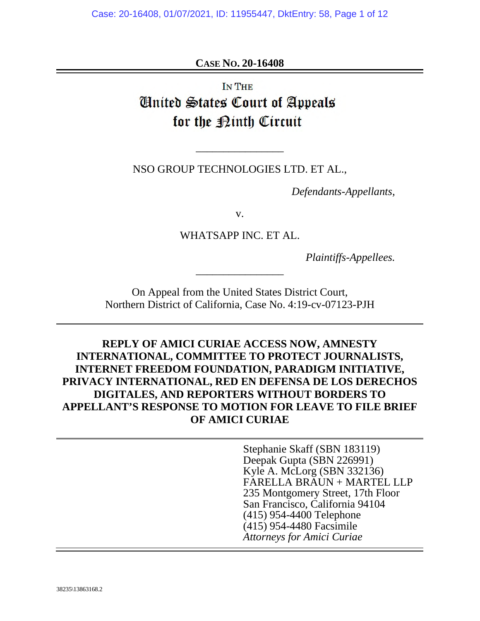**CASE NO. 20-16408** 

**IN THE Cinited States Court of Appeals** for the **Minth** Circuit

NSO GROUP TECHNOLOGIES LTD. ET AL.,

\_\_\_\_\_\_\_\_\_\_\_\_\_\_\_\_

*Defendants-Appellants,* 

v.

WHATSAPP INC. ET AL.

\_\_\_\_\_\_\_\_\_\_\_\_\_\_\_\_

*Plaintiffs-Appellees.* 

On Appeal from the United States District Court, Northern District of California, Case No. 4:19-cv-07123-PJH

## **REPLY OF AMICI CURIAE ACCESS NOW, AMNESTY INTERNATIONAL, COMMITTEE TO PROTECT JOURNALISTS, INTERNET FREEDOM FOUNDATION, PARADIGM INITIATIVE, PRIVACY INTERNATIONAL, RED EN DEFENSA DE LOS DERECHOS DIGITALES, AND REPORTERS WITHOUT BORDERS TO APPELLANT'S RESPONSE TO MOTION FOR LEAVE TO FILE BRIEF OF AMICI CURIAE**

Stephanie Skaff (SBN 183119) Deepak Gupta (SBN 226991) Kyle A. McLorg (SBN 332136) FARELLA BRAUN + MARTEL LLP 235 Montgomery Street, 17th Floor San Francisco, California 94104 (415) 954-4400 Telephone (415) 954-4480 Facsimile *Attorneys for Amici Curiae*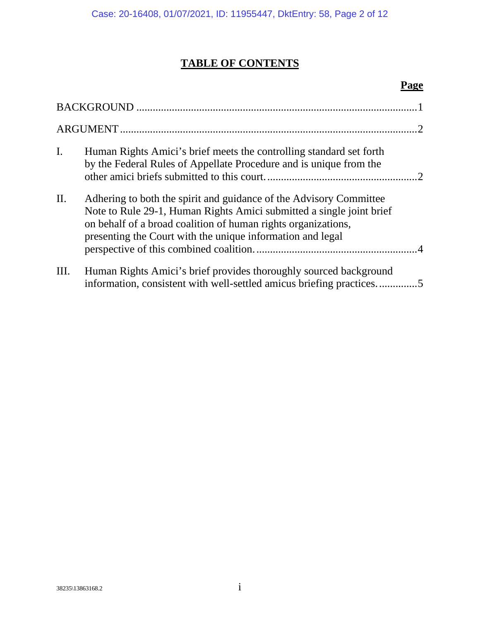# **TABLE OF CONTENTS**

## **Page**

| $\mathbf{I}$ .  | Human Rights Amici's brief meets the controlling standard set forth<br>by the Federal Rules of Appellate Procedure and is unique from the                                                                                                                                 |  |
|-----------------|---------------------------------------------------------------------------------------------------------------------------------------------------------------------------------------------------------------------------------------------------------------------------|--|
| $\mathbf{II}$ . | Adhering to both the spirit and guidance of the Advisory Committee<br>Note to Rule 29-1, Human Rights Amici submitted a single joint brief<br>on behalf of a broad coalition of human rights organizations,<br>presenting the Court with the unique information and legal |  |
| III.            | Human Rights Amici's brief provides thoroughly sourced background<br>information, consistent with well-settled amicus briefing practices5                                                                                                                                 |  |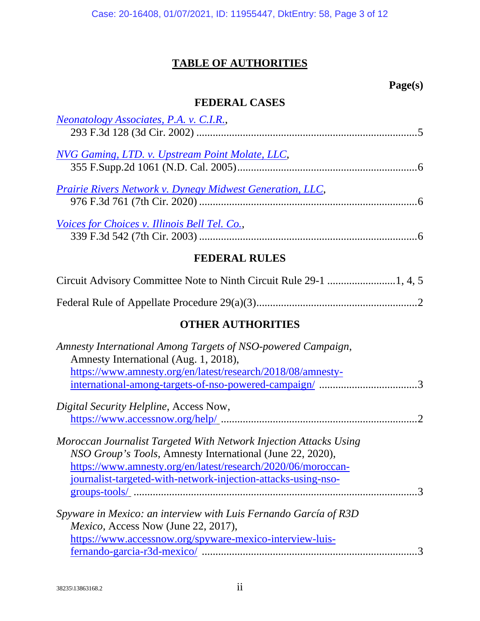## **TABLE OF AUTHORITIES**

## **Page(s)**

## **FEDERAL CASES**

| <b>Neonatology Associates, P.A. v. C.I.R.,</b>                    |
|-------------------------------------------------------------------|
|                                                                   |
| NVG Gaming, LTD. v. Upstream Point Molate, LLC,                   |
|                                                                   |
| <b>Prairie Rivers Network v. Dynegy Midwest Generation, LLC,</b>  |
|                                                                   |
| Voices for Choices v. Illinois Bell Tel. Co.,                     |
|                                                                   |
| <b>FEDERAL RULES</b>                                              |
|                                                                   |
|                                                                   |
| <b>OTHER AUTHORITIES</b>                                          |
| Amnesty International Among Targets of NSO-powered Campaign,      |
| Amnesty International (Aug. 1, 2018),                             |
| https://www.amnesty.org/en/latest/research/2018/08/amnesty-       |
|                                                                   |
| Digital Security Helpline, Access Now,                            |
|                                                                   |
| Moroccan Journalist Targeted With Network Injection Attacks Using |
| NSO Group's Tools, Amnesty International (June 22, 2020),         |
| https://www.amnesty.org/en/latest/research/2020/06/moroccan-      |
| journalist-targeted-with-network-injection-attacks-using-nso-     |
|                                                                   |
| Spyware in Mexico: an interview with Luis Fernando García of R3D  |
| <i>Mexico</i> , Access Now (June 22, 2017),                       |
| https://www.accessnow.org/spyware-mexico-interview-luis-          |
|                                                                   |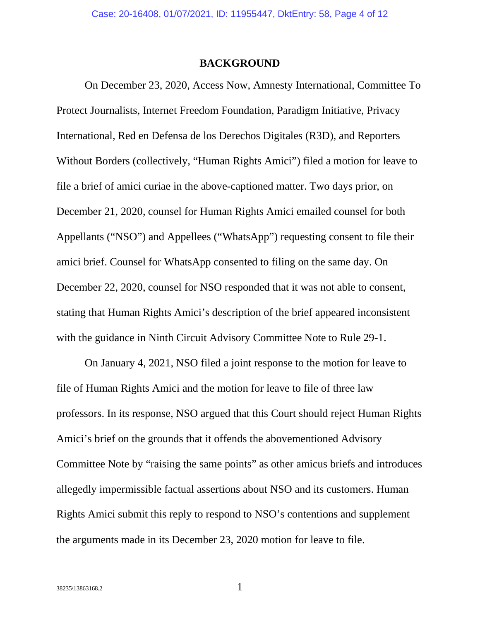#### <span id="page-3-1"></span>**BACKGROUND**

<span id="page-3-0"></span>On December 23, 2020, Access Now, Amnesty International, Committee To Protect Journalists, Internet Freedom Foundation, Paradigm Initiative, Privacy International, Red en Defensa de los Derechos Digitales (R3D), and Reporters Without Borders (collectively, "Human Rights Amici") filed a motion for leave to file a brief of amici curiae in the above-captioned matter. Two days prior, on December 21, 2020, counsel for Human Rights Amici emailed counsel for both Appellants ("NSO") and Appellees ("WhatsApp") requesting consent to file their amici brief. Counsel for WhatsApp consented to filing on the same day. On December 22, 2020, counsel for NSO responded that it was not able to consent, stating that Human Rights Amici's description of the brief appeared inconsistent with the guidance in Ninth Circuit Advisory Committee Note to Rule 29-1.

On January 4, 2021, NSO filed a joint response to the motion for leave to file of Human Rights Amici and the motion for leave to file of three law professors. In its response, NSO argued that this Court should reject Human Rights Amici's brief on the grounds that it offends the abovementioned Advisory Committee Note by "raising the same points" as other amicus briefs and introduces allegedly impermissible factual assertions about NSO and its customers. Human Rights Amici submit this reply to respond to NSO's contentions and supplement the arguments made in its December 23, 2020 motion for leave to file.

<span id="page-3-2"></span>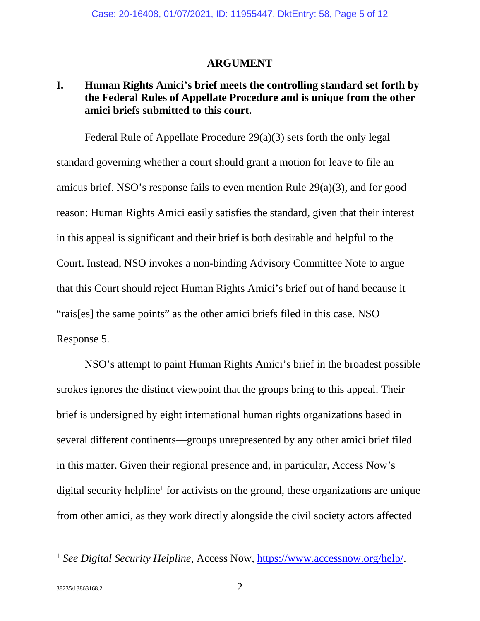### <span id="page-4-1"></span>**ARGUMENT**

### <span id="page-4-2"></span><span id="page-4-0"></span>**I. Human Rights Amici's brief meets the controlling standard set forth by the Federal Rules of Appellate Procedure and is unique from the other amici briefs submitted to this court.**

<span id="page-4-3"></span>Federal Rule of Appellate Procedure 29(a)(3) sets forth the only legal standard governing whether a court should grant a motion for leave to file an amicus brief. NSO's response fails to even mention Rule 29(a)(3), and for good reason: Human Rights Amici easily satisfies the standard, given that their interest in this appeal is significant and their brief is both desirable and helpful to the Court. Instead, NSO invokes a non-binding Advisory Committee Note to argue that this Court should reject Human Rights Amici's brief out of hand because it "rais[es] the same points" as the other amici briefs filed in this case. NSO Response 5.

NSO's attempt to paint Human Rights Amici's brief in the broadest possible strokes ignores the distinct viewpoint that the groups bring to this appeal. Their brief is undersigned by eight international human rights organizations based in several different continents—groups unrepresented by any other amici brief filed in this matter. Given their regional presence and, in particular, Access Now's digital security helpline<sup>[1](#page-4-5)</sup> for activists on the ground, these organizations are unique from other amici, as they work directly alongside the civil society actors affected

<span id="page-4-5"></span><span id="page-4-4"></span><sup>&</sup>lt;sup>1</sup> See Digital Security Helpline, Access Now, https://www.accessnow.org/help/.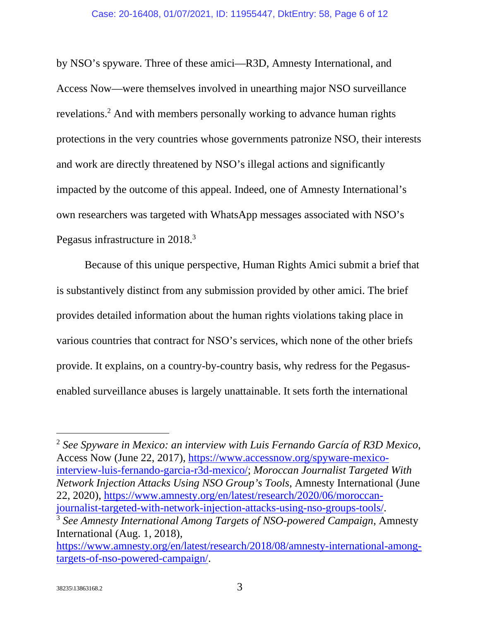by NSO's spyware. Three of these amici—R3D, Amnesty International, and Access Now—were themselves involved in unearthing major NSO surveillance revelations.<sup>[2](#page-5-3)</sup> And with members personally working to advance human rights protections in the very countries whose governments patronize NSO, their interests and work are directly threatened by NSO's illegal actions and significantly impacted by the outcome of this appeal. Indeed, one of Amnesty International's own researchers was targeted with WhatsApp messages associated with NSO's Pegasus infrastructure in 2018.<sup>[3](#page-5-4)</sup>

Because of this unique perspective, Human Rights Amici submit a brief that is substantively distinct from any submission provided by other amici. The brief provides detailed information about the human rights violations taking place in various countries that contract for NSO's services, which none of the other briefs provide. It explains, on a country-by-country basis, why redress for the Pegasusenabled surveillance abuses is largely unattainable. It sets forth the international

<span id="page-5-3"></span><span id="page-5-2"></span><span id="page-5-1"></span><sup>2</sup> *See Spyware in Mexico: an interview with Luis Fernando García of R3D Mexico*, Access Now (June 22, 2017), https://www.accessnow.org/spyware-mexicointerview-luis-fernando-garcia-r3d-mexico/; *Moroccan Journalist Targeted With Network Injection Attacks Using NSO Group's Tools*, Amnesty International (June 22, 2020), https://www.amnesty.org/en/latest/research/2020/06/moroccanjournalist-targeted-with-network-injection-attacks-using-nso-groups-tools/. <sup>3</sup> *See Amnesty International Among Targets of NSO-powered Campaign*, Amnesty International (Aug. 1, 2018), https://www.amnesty.org/en/latest/research/2018/08/amnesty-international-among-

<span id="page-5-4"></span><span id="page-5-0"></span>targets-of-nso-powered-campaign/.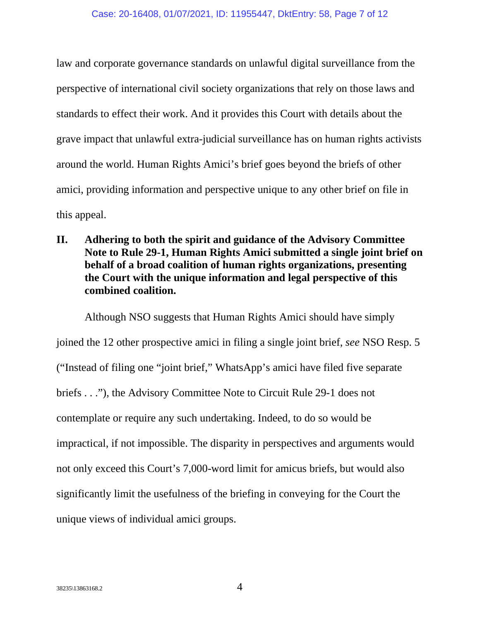law and corporate governance standards on unlawful digital surveillance from the perspective of international civil society organizations that rely on those laws and standards to effect their work. And it provides this Court with details about the grave impact that unlawful extra-judicial surveillance has on human rights activists around the world. Human Rights Amici's brief goes beyond the briefs of other amici, providing information and perspective unique to any other brief on file in this appeal.

<span id="page-6-0"></span>**II. Adhering to both the spirit and guidance of the Advisory Committee Note to Rule 29-1, Human Rights Amici submitted a single joint brief on behalf of a broad coalition of human rights organizations, presenting the Court with the unique information and legal perspective of this combined coalition.** 

Although NSO suggests that Human Rights Amici should have simply joined the 12 other prospective amici in filing a single joint brief, *see* NSO Resp. 5 ("Instead of filing one "joint brief," WhatsApp's amici have filed five separate briefs . . ."), the Advisory Committee Note to Circuit Rule 29-1 does not contemplate or require any such undertaking. Indeed, to do so would be impractical, if not impossible. The disparity in perspectives and arguments would not only exceed this Court's 7,000-word limit for amicus briefs, but would also significantly limit the usefulness of the briefing in conveying for the Court the unique views of individual amici groups.

<span id="page-6-1"></span>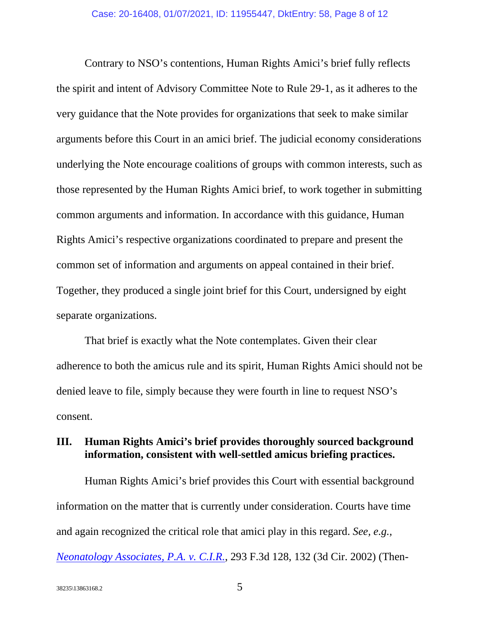Contrary to NSO's contentions, Human Rights Amici's brief fully reflects the spirit and intent of Advisory Committee Note to Rule 29-1, as it adheres to the very guidance that the Note provides for organizations that seek to make similar arguments before this Court in an amici brief. The judicial economy considerations underlying the Note encourage coalitions of groups with common interests, such as those represented by the Human Rights Amici brief, to work together in submitting common arguments and information. In accordance with this guidance, Human Rights Amici's respective organizations coordinated to prepare and present the common set of information and arguments on appeal contained in their brief. Together, they produced a single joint brief for this Court, undersigned by eight separate organizations.

That brief is exactly what the Note contemplates. Given their clear adherence to both the amicus rule and its spirit, Human Rights Amici should not be denied leave to file, simply because they were fourth in line to request NSO's consent.

## <span id="page-7-0"></span>**III. Human Rights Amici's brief provides thoroughly sourced background information, consistent with well-settled amicus briefing practices.**

<span id="page-7-1"></span>Human Rights Amici's brief provides this Court with essential background information on the matter that is currently under consideration. Courts have time and again recognized the critical role that amici play in this regard. *See, e.g., [Neonatology Associates, P.A. v. C.I.R.](https://www.westlaw.com/Document/Ib4fa91b979d711d99c4dbb2f0352441d/View/FullText.html?transitionType=Default&contextData=(sc.Default)&VR=3.0&RS=cblt1.0)*, 293 F.3d 128, 132 (3d Cir. 2002) (Then-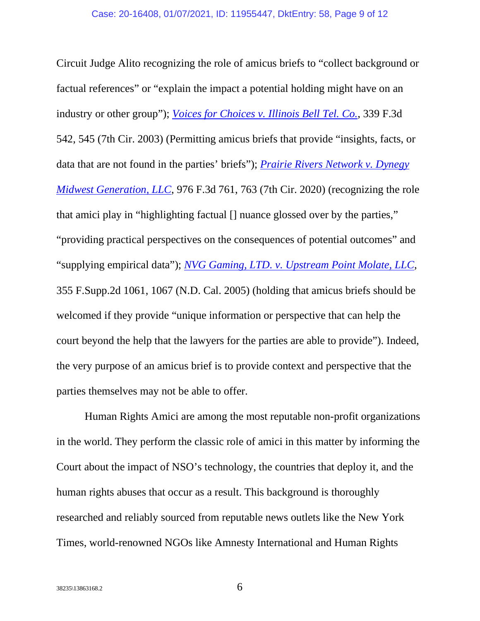<span id="page-8-2"></span><span id="page-8-1"></span>Circuit Judge Alito recognizing the role of amicus briefs to "collect background or factual references" or "explain the impact a potential holding might have on an industry or other group"); *[Voices for Choices v. Illinois Bell Tel. Co.](https://www.westlaw.com/Document/I988bf4e189e711d9903eeb4634b8d78e/View/FullText.html?transitionType=Default&contextData=(sc.Default)&VR=3.0&RS=cblt1.0)*, 339 F.3d 542, 545 (7th Cir. 2003) (Permitting amicus briefs that provide "insights, facts, or data that are not found in the parties' briefs"); *[Prairie Rivers Network v. Dynegy](https://www.westlaw.com/Document/Ide039ae004fc11eba034d891cc25f3cc/View/FullText.html?transitionType=Default&contextData=(sc.Default)&VR=3.0&RS=cblt1.0)  [Midwest Generation, LLC](https://www.westlaw.com/Document/Ide039ae004fc11eba034d891cc25f3cc/View/FullText.html?transitionType=Default&contextData=(sc.Default)&VR=3.0&RS=cblt1.0)*[, 976 F.3d 761, 763 \(7th Cir. 2020\) \(recognizing the role](https://www.westlaw.com/Document/Ide039ae004fc11eba034d891cc25f3cc/View/FullText.html?transitionType=Default&contextData=(sc.Default)&VR=3.0&RS=cblt1.0)  that amici play in "highlighting factual [] nuance glossed over by the parties," "providing practical perspectives on the consequences of potential outcomes" and "supplying empirical data"); *[NVG Gaming, LTD. v. Upstream Point Molate, LLC](https://www.westlaw.com/Document/I51c262cf7bae11d98c82a53fc8ac8757/View/FullText.html?transitionType=Default&contextData=(sc.Default)&VR=3.0&RS=cblt1.0)*, 355 F.Supp.2d 1061, 1067 (N.D. Cal. 2005) (holding that amicus briefs should be welcomed if they provide "unique information or perspective that can help the court beyond the help that the lawyers for the parties are able to provide"). Indeed, the very purpose of an amicus brief is to provide context and perspective that the parties themselves may not be able to offer.

<span id="page-8-0"></span>Human Rights Amici are among the most reputable non-profit organizations in the world. They perform the classic role of amici in this matter by informing the Court about the impact of NSO's technology, the countries that deploy it, and the human rights abuses that occur as a result. This background is thoroughly researched and reliably sourced from reputable news outlets like the New York Times, world-renowned NGOs like Amnesty International and Human Rights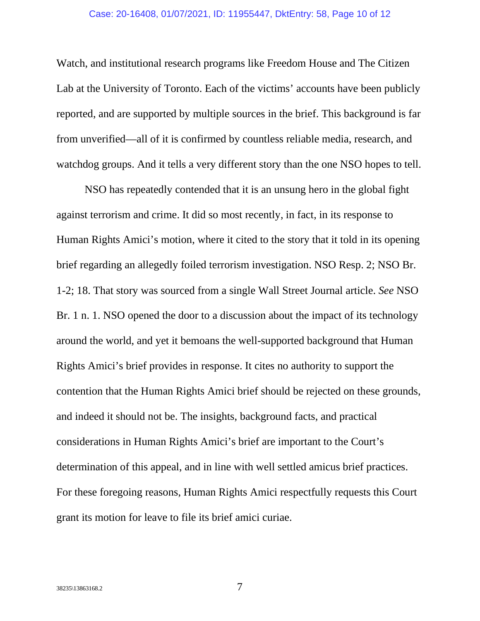#### Case: 20-16408, 01/07/2021, ID: 11955447, DktEntry: 58, Page 10 of 12

Watch, and institutional research programs like Freedom House and The Citizen Lab at the University of Toronto. Each of the victims' accounts have been publicly reported, and are supported by multiple sources in the brief. This background is far from unverified—all of it is confirmed by countless reliable media, research, and watchdog groups. And it tells a very different story than the one NSO hopes to tell.

NSO has repeatedly contended that it is an unsung hero in the global fight against terrorism and crime. It did so most recently, in fact, in its response to Human Rights Amici's motion, where it cited to the story that it told in its opening brief regarding an allegedly foiled terrorism investigation. NSO Resp. 2; NSO Br. 1-2; 18. That story was sourced from a single Wall Street Journal article. *See* NSO Br. 1 n. 1. NSO opened the door to a discussion about the impact of its technology around the world, and yet it bemoans the well-supported background that Human Rights Amici's brief provides in response. It cites no authority to support the contention that the Human Rights Amici brief should be rejected on these grounds, and indeed it should not be. The insights, background facts, and practical considerations in Human Rights Amici's brief are important to the Court's determination of this appeal, and in line with well settled amicus brief practices. For these foregoing reasons, Human Rights Amici respectfully requests this Court grant its motion for leave to file its brief amici curiae.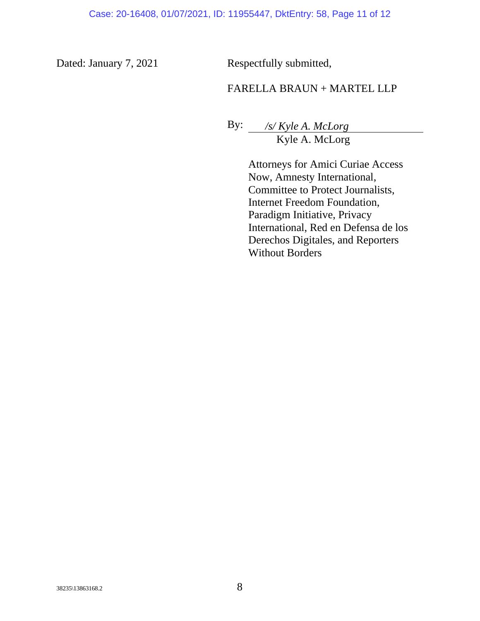Dated: January 7, 2021 Respectfully submitted,

## FARELLA BRAUN + MARTEL LLP

By: */s/ Kyle A. McLorg* Kyle A. McLorg

> Attorneys for Amici Curiae Access Now, Amnesty International, Committee to Protect Journalists, Internet Freedom Foundation, Paradigm Initiative, Privacy International, Red en Defensa de los Derechos Digitales, and Reporters Without Borders